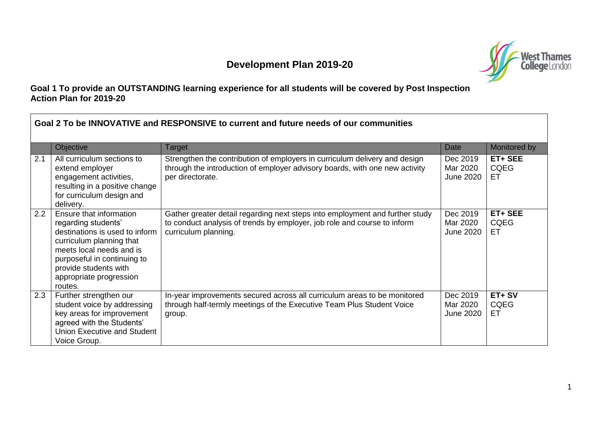## **Development Plan 2019-20**



## **Goal 1 To provide an OUTSTANDING learning experience for all students will be covered by Post Inspection Action Plan for 2019-20**

| Goal 2 To be INNOVATIVE and RESPONSIVE to current and future needs of our communities |                                                                                                                                                                                                                                        |                                                                                                                                                                                  |                                          |                              |
|---------------------------------------------------------------------------------------|----------------------------------------------------------------------------------------------------------------------------------------------------------------------------------------------------------------------------------------|----------------------------------------------------------------------------------------------------------------------------------------------------------------------------------|------------------------------------------|------------------------------|
|                                                                                       | Objective                                                                                                                                                                                                                              | Target                                                                                                                                                                           | Date                                     | Monitored by                 |
| 2.1                                                                                   | All curriculum sections to<br>extend employer<br>engagement activities,<br>resulting in a positive change<br>for curriculum design and<br>delivery.                                                                                    | Strengthen the contribution of employers in curriculum delivery and design<br>through the introduction of employer advisory boards, with one new activity<br>per directorate.    | Dec 2019<br>Mar 2020<br><b>June 2020</b> | ET+ SEE<br><b>CQEG</b><br>ET |
| 2.2                                                                                   | Ensure that information<br>regarding students'<br>destinations is used to inform<br>curriculum planning that<br>meets local needs and is<br>purposeful in continuing to<br>provide students with<br>appropriate progression<br>routes. | Gather greater detail regarding next steps into employment and further study<br>to conduct analysis of trends by employer, job role and course to inform<br>curriculum planning. | Dec 2019<br>Mar 2020<br><b>June 2020</b> | ET+ SEE<br><b>CQEG</b><br>ET |
| 2.3                                                                                   | Further strengthen our<br>student voice by addressing<br>key areas for improvement<br>agreed with the Students'<br>Union Executive and Student<br>Voice Group.                                                                         | In-year improvements secured across all curriculum areas to be monitored<br>through half-termly meetings of the Executive Team Plus Student Voice<br>group.                      | Dec 2019<br>Mar 2020<br><b>June 2020</b> | ET+SV<br><b>CQEG</b><br>EТ   |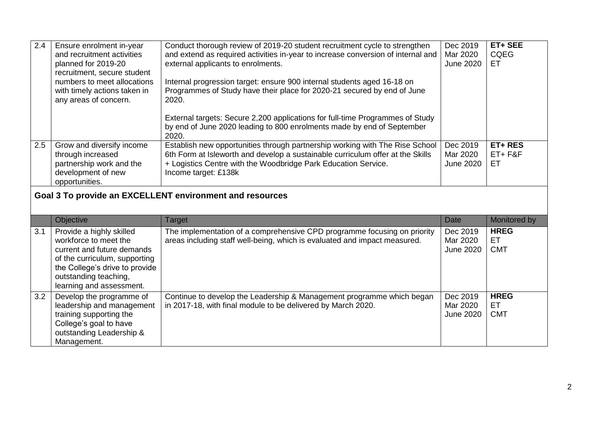| 2.4 | Ensure enrolment in-year                                 | Conduct thorough review of 2019-20 student recruitment cycle to strengthen       | Dec 2019         | ET+ SEE     |  |
|-----|----------------------------------------------------------|----------------------------------------------------------------------------------|------------------|-------------|--|
|     | and recruitment activities                               | and extend as required activities in-year to increase conversion of internal and | Mar 2020         | <b>CQEG</b> |  |
|     | planned for 2019-20                                      | external applicants to enrolments.                                               | <b>June 2020</b> | ET          |  |
|     | recruitment, secure student                              |                                                                                  |                  |             |  |
|     | numbers to meet allocations                              | Internal progression target: ensure 900 internal students aged 16-18 on          |                  |             |  |
|     | with timely actions taken in                             | Programmes of Study have their place for 2020-21 secured by end of June          |                  |             |  |
|     | any areas of concern.                                    | 2020.                                                                            |                  |             |  |
|     |                                                          |                                                                                  |                  |             |  |
|     |                                                          | External targets: Secure 2,200 applications for full-time Programmes of Study    |                  |             |  |
|     |                                                          | by end of June 2020 leading to 800 enrolments made by end of September           |                  |             |  |
|     |                                                          | 2020.                                                                            |                  |             |  |
| 2.5 | Grow and diversify income                                | Establish new opportunities through partnership working with The Rise School     | Dec 2019         | ET+RES      |  |
|     | through increased                                        | 6th Form at Isleworth and develop a sustainable curriculum offer at the Skills   | Mar 2020         | $ET + F&F$  |  |
|     | partnership work and the                                 | + Logistics Centre with the Woodbridge Park Education Service.                   | June 2020        | ET          |  |
|     | development of new                                       | Income target: £138k                                                             |                  |             |  |
|     | opportunities.                                           |                                                                                  |                  |             |  |
|     |                                                          |                                                                                  |                  |             |  |
|     | Goal 3 To provide an EXCELLENT environment and resources |                                                                                  |                  |             |  |

|     | Objective                                                                                                                                                                                               | Target                                                                                                                                                | Date                                     | Monitored by                    |
|-----|---------------------------------------------------------------------------------------------------------------------------------------------------------------------------------------------------------|-------------------------------------------------------------------------------------------------------------------------------------------------------|------------------------------------------|---------------------------------|
| 3.1 | Provide a highly skilled<br>workforce to meet the<br>current and future demands<br>of the curriculum, supporting<br>the College's drive to provide<br>outstanding teaching,<br>learning and assessment. | The implementation of a comprehensive CPD programme focusing on priority<br>areas including staff well-being, which is evaluated and impact measured. | Dec 2019<br>Mar 2020<br><b>June 2020</b> | <b>HREG</b><br>ET<br><b>CMT</b> |
| 3.2 | Develop the programme of<br>leadership and management<br>training supporting the<br>College's goal to have<br>outstanding Leadership &<br>Management.                                                   | Continue to develop the Leadership & Management programme which began<br>in 2017-18, with final module to be delivered by March 2020.                 | Dec 2019<br>Mar 2020<br><b>June 2020</b> | <b>HREG</b><br>ET<br><b>CMT</b> |